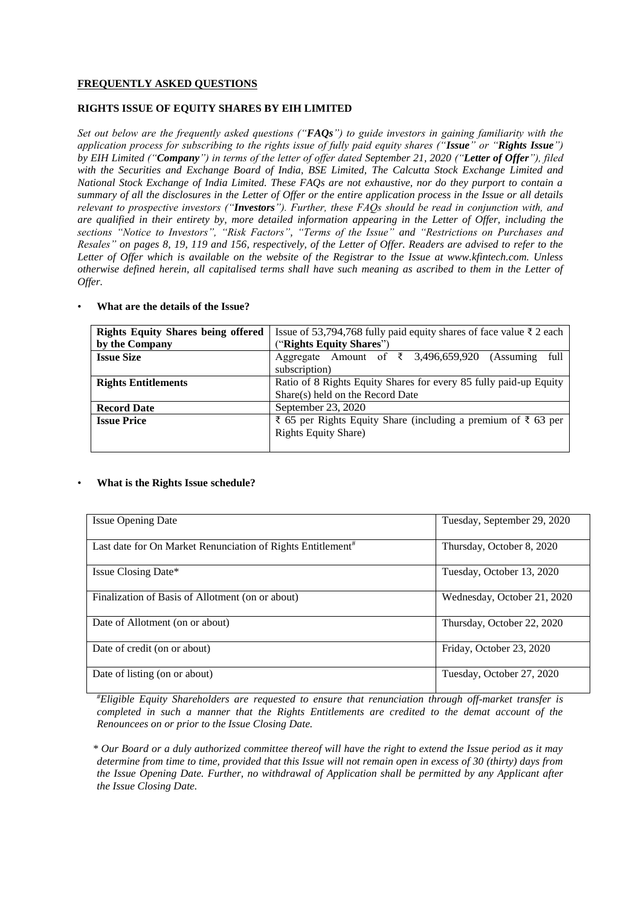# **FREQUENTLY ASKED QUESTIONS**

## **RIGHTS ISSUE OF EQUITY SHARES BY EIH LIMITED**

*Set out below are the frequently asked questions ("FAQs") to guide investors in gaining familiarity with the application process for subscribing to the rights issue of fully paid equity shares ("Issue" or "Rights Issue") by EIH Limited ("Company") in terms of the letter of offer dated September 21, 2020 ("Letter of Offer"), filed with the Securities and Exchange Board of India, BSE Limited, The Calcutta Stock Exchange Limited and National Stock Exchange of India Limited. These FAQs are not exhaustive, nor do they purport to contain a summary of all the disclosures in the Letter of Offer or the entire application process in the Issue or all details relevant to prospective investors ("Investors"). Further, these FAQs should be read in conjunction with, and are qualified in their entirety by, more detailed information appearing in the Letter of Offer, including the sections "Notice to Investors", "Risk Factors", "Terms of the Issue" and "Restrictions on Purchases and Resales" on pages 8, 19, 119 and 156, respectively, of the Letter of Offer. Readers are advised to refer to the Letter of Offer which is available on the website of the Registrar to the Issue at www.kfintech.com. Unless otherwise defined herein, all capitalised terms shall have such meaning as ascribed to them in the Letter of Offer.*

| <b>Rights Equity Shares being offered</b> | Issue of 53,794,768 fully paid equity shares of face value ₹ 2 each |  |
|-------------------------------------------|---------------------------------------------------------------------|--|
| by the Company                            | ("Rights Equity Shares")                                            |  |
| <b>Issue Size</b>                         | Amount of ₹ 3,496,659,920<br>full<br>(Assuming)<br>Aggregate        |  |
|                                           | subscription)                                                       |  |
| <b>Rights Entitlements</b>                | Ratio of 8 Rights Equity Shares for every 85 fully paid-up Equity   |  |
|                                           | Share(s) held on the Record Date                                    |  |
| <b>Record Date</b>                        | September 23, 2020                                                  |  |
| <b>Issue Price</b>                        | ₹ 65 per Rights Equity Share (including a premium of ₹ 63 per       |  |
|                                           | <b>Rights Equity Share</b> )                                        |  |
|                                           |                                                                     |  |

#### • **What are the details of the Issue?**

#### • **What is the Rights Issue schedule?**

| <b>Issue Opening Date</b>                                               | Tuesday, September 29, 2020 |
|-------------------------------------------------------------------------|-----------------------------|
| Last date for On Market Renunciation of Rights Entitlement <sup>#</sup> | Thursday, October 8, 2020   |
| Issue Closing Date*                                                     | Tuesday, October 13, 2020   |
| Finalization of Basis of Allotment (on or about)                        | Wednesday, October 21, 2020 |
| Date of Allotment (on or about)                                         | Thursday, October 22, 2020  |
| Date of credit (on or about)                                            | Friday, October 23, 2020    |
| Date of listing (on or about)                                           | Tuesday, October 27, 2020   |

*#Eligible Equity Shareholders are requested to ensure that renunciation through off-market transfer is completed in such a manner that the Rights Entitlements are credited to the demat account of the Renouncees on or prior to the Issue Closing Date.*

*\* Our Board or a duly authorized committee thereof will have the right to extend the Issue period as it may determine from time to time, provided that this Issue will not remain open in excess of 30 (thirty) days from the Issue Opening Date. Further, no withdrawal of Application shall be permitted by any Applicant after the Issue Closing Date.*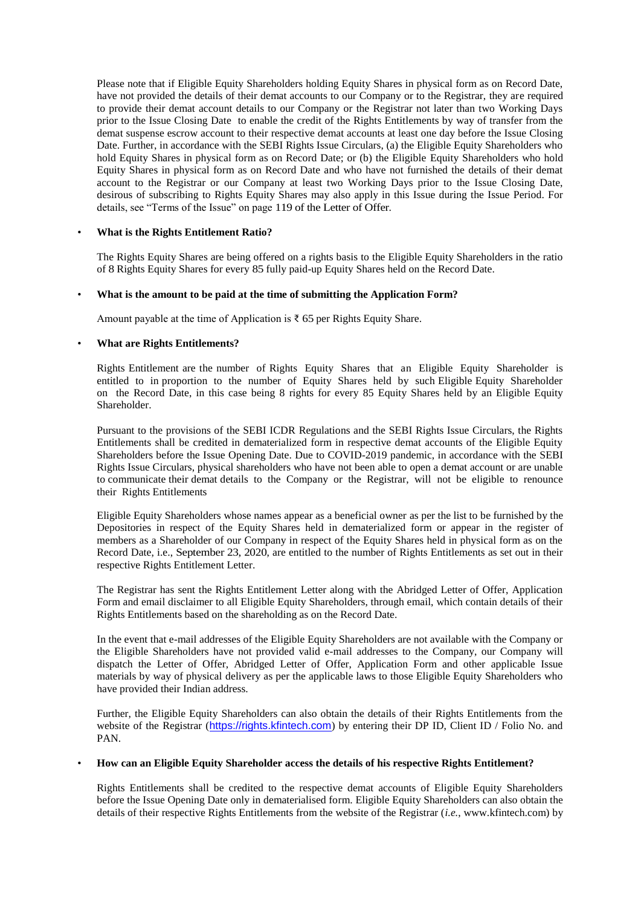Please note that if Eligible Equity Shareholders holding Equity Shares in physical form as on Record Date, have not provided the details of their demat accounts to our Company or to the Registrar, they are required to provide their demat account details to our Company or the Registrar not later than two Working Days prior to the Issue Closing Date to enable the credit of the Rights Entitlements by way of transfer from the demat suspense escrow account to their respective demat accounts at least one day before the Issue Closing Date. Further, in accordance with the SEBI Rights Issue Circulars, (a) the Eligible Equity Shareholders who hold Equity Shares in physical form as on Record Date; or (b) the Eligible Equity Shareholders who hold Equity Shares in physical form as on Record Date and who have not furnished the details of their demat account to the Registrar or our Company at least two Working Days prior to the Issue Closing Date, desirous of subscribing to Rights Equity Shares may also apply in this Issue during the Issue Period. For details, see "Terms of the Issue" on page 119 of the Letter of Offer.

## • **What is the Rights Entitlement Ratio?**

The Rights Equity Shares are being offered on a rights basis to the Eligible Equity Shareholders in the ratio of 8 Rights Equity Shares for every 85 fully paid-up Equity Shares held on the Record Date.

## • **What is the amount to be paid at the time of submitting the Application Form?**

Amount payable at the time of Application is  $\bar{\tau}$  65 per Rights Equity Share.

## • **What are Rights Entitlements?**

Rights Entitlement are the number of Rights Equity Shares that an Eligible Equity Shareholder is entitled to in proportion to the number of Equity Shares held by such Eligible Equity Shareholder on the Record Date, in this case being 8 rights for every 85 Equity Shares held by an Eligible Equity Shareholder.

Pursuant to the provisions of the SEBI ICDR Regulations and the SEBI Rights Issue Circulars, the Rights Entitlements shall be credited in dematerialized form in respective demat accounts of the Eligible Equity Shareholders before the Issue Opening Date. Due to COVID-2019 pandemic, in accordance with the SEBI Rights Issue Circulars, physical shareholders who have not been able to open a demat account or are unable to communicate their demat details to the Company or the Registrar, will not be eligible to renounce their Rights Entitlements

Eligible Equity Shareholders whose names appear as a beneficial owner as per the list to be furnished by the Depositories in respect of the Equity Shares held in dematerialized form or appear in the register of members as a Shareholder of our Company in respect of the Equity Shares held in physical form as on the Record Date, i.e., September 23, 2020, are entitled to the number of Rights Entitlements as set out in their respective Rights Entitlement Letter.

The Registrar has sent the Rights Entitlement Letter along with the Abridged Letter of Offer, Application Form and email disclaimer to all Eligible Equity Shareholders, through email, which contain details of their Rights Entitlements based on the shareholding as on the Record Date.

In the event that e-mail addresses of the Eligible Equity Shareholders are not available with the Company or the Eligible Shareholders have not provided valid e-mail addresses to the Company, our Company will dispatch the Letter of Offer, Abridged Letter of Offer, Application Form and other applicable Issue materials by way of physical delivery as per the applicable laws to those Eligible Equity Shareholders who have provided their Indian address.

Further, the Eligible Equity Shareholders can also obtain the details of their Rights Entitlements from the website of the Registrar ([https://rights.kfintech.com](https://rights.kfintech.com/)) by entering their DP ID, Client ID / Folio No. and PAN.

## • **How can an Eligible Equity Shareholder access the details of his respective Rights Entitlement?**

Rights Entitlements shall be credited to the respective demat accounts of Eligible Equity Shareholders before the Issue Opening Date only in dematerialised form. Eligible Equity Shareholders can also obtain the details of their respective Rights Entitlements from the website of the Registrar (*i.e.*, www.kfintech.com) by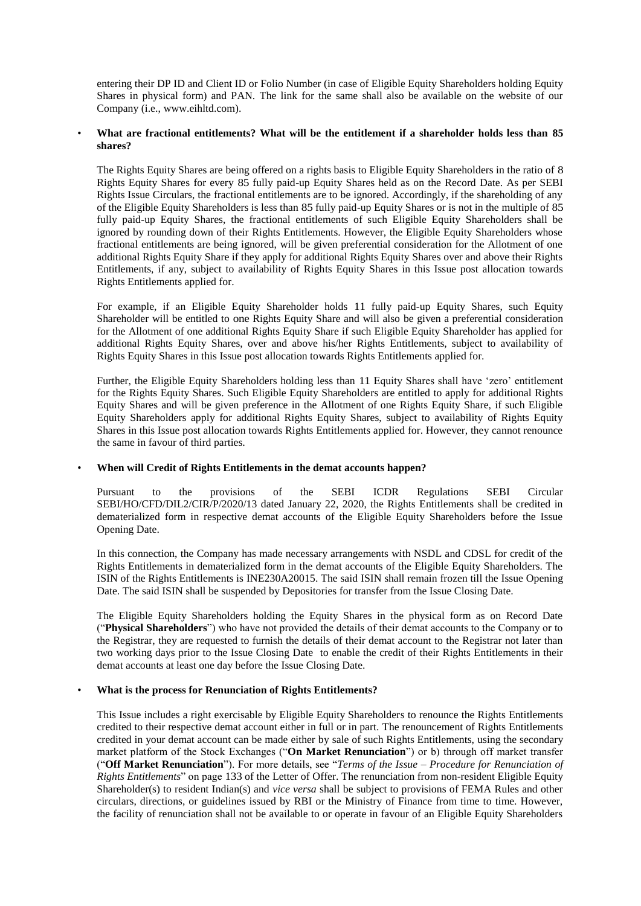entering their DP ID and Client ID or Folio Number (in case of Eligible Equity Shareholders holding Equity Shares in physical form) and PAN. The link for the same shall also be available on the website of our Company (i.e., www.eihltd.com).

## • **What are fractional entitlements? What will be the entitlement if a shareholder holds less than 85 shares?**

The Rights Equity Shares are being offered on a rights basis to Eligible Equity Shareholders in the ratio of 8 Rights Equity Shares for every 85 fully paid-up Equity Shares held as on the Record Date. As per SEBI Rights Issue Circulars, the fractional entitlements are to be ignored. Accordingly, if the shareholding of any of the Eligible Equity Shareholders is less than 85 fully paid-up Equity Shares or is not in the multiple of 85 fully paid-up Equity Shares, the fractional entitlements of such Eligible Equity Shareholders shall be ignored by rounding down of their Rights Entitlements. However, the Eligible Equity Shareholders whose fractional entitlements are being ignored, will be given preferential consideration for the Allotment of one additional Rights Equity Share if they apply for additional Rights Equity Shares over and above their Rights Entitlements, if any, subject to availability of Rights Equity Shares in this Issue post allocation towards Rights Entitlements applied for.

For example, if an Eligible Equity Shareholder holds 11 fully paid-up Equity Shares, such Equity Shareholder will be entitled to one Rights Equity Share and will also be given a preferential consideration for the Allotment of one additional Rights Equity Share if such Eligible Equity Shareholder has applied for additional Rights Equity Shares, over and above his/her Rights Entitlements, subject to availability of Rights Equity Shares in this Issue post allocation towards Rights Entitlements applied for.

Further, the Eligible Equity Shareholders holding less than 11 Equity Shares shall have 'zero' entitlement for the Rights Equity Shares. Such Eligible Equity Shareholders are entitled to apply for additional Rights Equity Shares and will be given preference in the Allotment of one Rights Equity Share, if such Eligible Equity Shareholders apply for additional Rights Equity Shares, subject to availability of Rights Equity Shares in this Issue post allocation towards Rights Entitlements applied for. However, they cannot renounce the same in favour of third parties.

#### • **When will Credit of Rights Entitlements in the demat accounts happen?**

Pursuant to the provisions of the SEBI ICDR Regulations SEBI Circular SEBI/HO/CFD/DIL2/CIR/P/2020/13 dated January 22, 2020, the Rights Entitlements shall be credited in dematerialized form in respective demat accounts of the Eligible Equity Shareholders before the Issue Opening Date.

In this connection, the Company has made necessary arrangements with NSDL and CDSL for credit of the Rights Entitlements in dematerialized form in the demat accounts of the Eligible Equity Shareholders. The ISIN of the Rights Entitlements is INE230A20015. The said ISIN shall remain frozen till the Issue Opening Date. The said ISIN shall be suspended by Depositories for transfer from the Issue Closing Date.

The Eligible Equity Shareholders holding the Equity Shares in the physical form as on Record Date ("**Physical Shareholders**") who have not provided the details of their demat accounts to the Company or to the Registrar, they are requested to furnish the details of their demat account to the Registrar not later than two working days prior to the Issue Closing Date to enable the credit of their Rights Entitlements in their demat accounts at least one day before the Issue Closing Date.

## • **What is the process for Renunciation of Rights Entitlements?**

This Issue includes a right exercisable by Eligible Equity Shareholders to renounce the Rights Entitlements credited to their respective demat account either in full or in part. The renouncement of Rights Entitlements credited in your demat account can be made either by sale of such Rights Entitlements, using the secondary market platform of the Stock Exchanges ("**On Market Renunciation**") or b) through off market transfer ("**Off Market Renunciation**"). For more details, see "*Terms of the Issue – Procedure for Renunciation of Rights Entitlements*" on page 133 of the Letter of Offer. The renunciation from non-resident Eligible Equity Shareholder(s) to resident Indian(s) and *vice versa* shall be subject to provisions of FEMA Rules and other circulars, directions, or guidelines issued by RBI or the Ministry of Finance from time to time. However, the facility of renunciation shall not be available to or operate in favour of an Eligible Equity Shareholders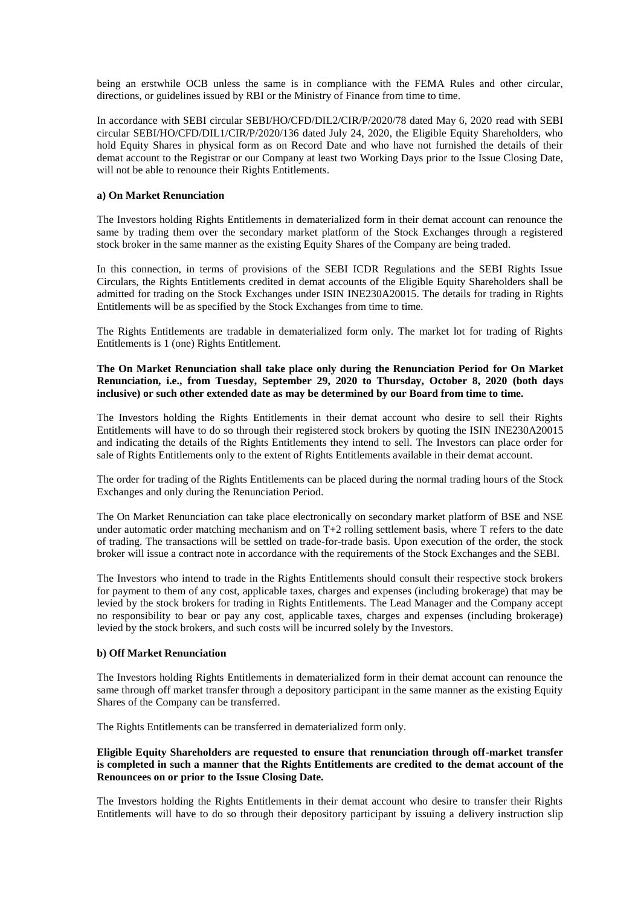being an erstwhile OCB unless the same is in compliance with the FEMA Rules and other circular, directions, or guidelines issued by RBI or the Ministry of Finance from time to time.

In accordance with SEBI circular SEBI/HO/CFD/DIL2/CIR/P/2020/78 dated May 6, 2020 read with SEBI circular SEBI/HO/CFD/DIL1/CIR/P/2020/136 dated July 24, 2020, the Eligible Equity Shareholders, who hold Equity Shares in physical form as on Record Date and who have not furnished the details of their demat account to the Registrar or our Company at least two Working Days prior to the Issue Closing Date, will not be able to renounce their Rights Entitlements.

## **a) On Market Renunciation**

The Investors holding Rights Entitlements in dematerialized form in their demat account can renounce the same by trading them over the secondary market platform of the Stock Exchanges through a registered stock broker in the same manner as the existing Equity Shares of the Company are being traded.

In this connection, in terms of provisions of the SEBI ICDR Regulations and the SEBI Rights Issue Circulars, the Rights Entitlements credited in demat accounts of the Eligible Equity Shareholders shall be admitted for trading on the Stock Exchanges under ISIN INE230A20015. The details for trading in Rights Entitlements will be as specified by the Stock Exchanges from time to time.

The Rights Entitlements are tradable in dematerialized form only. The market lot for trading of Rights Entitlements is 1 (one) Rights Entitlement.

## **The On Market Renunciation shall take place only during the Renunciation Period for On Market Renunciation, i.e., from Tuesday, September 29, 2020 to Thursday, October 8, 2020 (both days inclusive) or such other extended date as may be determined by our Board from time to time.**

The Investors holding the Rights Entitlements in their demat account who desire to sell their Rights Entitlements will have to do so through their registered stock brokers by quoting the ISIN INE230A20015 and indicating the details of the Rights Entitlements they intend to sell. The Investors can place order for sale of Rights Entitlements only to the extent of Rights Entitlements available in their demat account.

The order for trading of the Rights Entitlements can be placed during the normal trading hours of the Stock Exchanges and only during the Renunciation Period.

The On Market Renunciation can take place electronically on secondary market platform of BSE and NSE under automatic order matching mechanism and on T+2 rolling settlement basis, where T refers to the date of trading. The transactions will be settled on trade-for-trade basis. Upon execution of the order, the stock broker will issue a contract note in accordance with the requirements of the Stock Exchanges and the SEBI.

The Investors who intend to trade in the Rights Entitlements should consult their respective stock brokers for payment to them of any cost, applicable taxes, charges and expenses (including brokerage) that may be levied by the stock brokers for trading in Rights Entitlements. The Lead Manager and the Company accept no responsibility to bear or pay any cost, applicable taxes, charges and expenses (including brokerage) levied by the stock brokers, and such costs will be incurred solely by the Investors.

#### **b) Off Market Renunciation**

The Investors holding Rights Entitlements in dematerialized form in their demat account can renounce the same through off market transfer through a depository participant in the same manner as the existing Equity Shares of the Company can be transferred.

The Rights Entitlements can be transferred in dematerialized form only.

## **Eligible Equity Shareholders are requested to ensure that renunciation through off-market transfer is completed in such a manner that the Rights Entitlements are credited to the demat account of the Renouncees on or prior to the Issue Closing Date.**

The Investors holding the Rights Entitlements in their demat account who desire to transfer their Rights Entitlements will have to do so through their depository participant by issuing a delivery instruction slip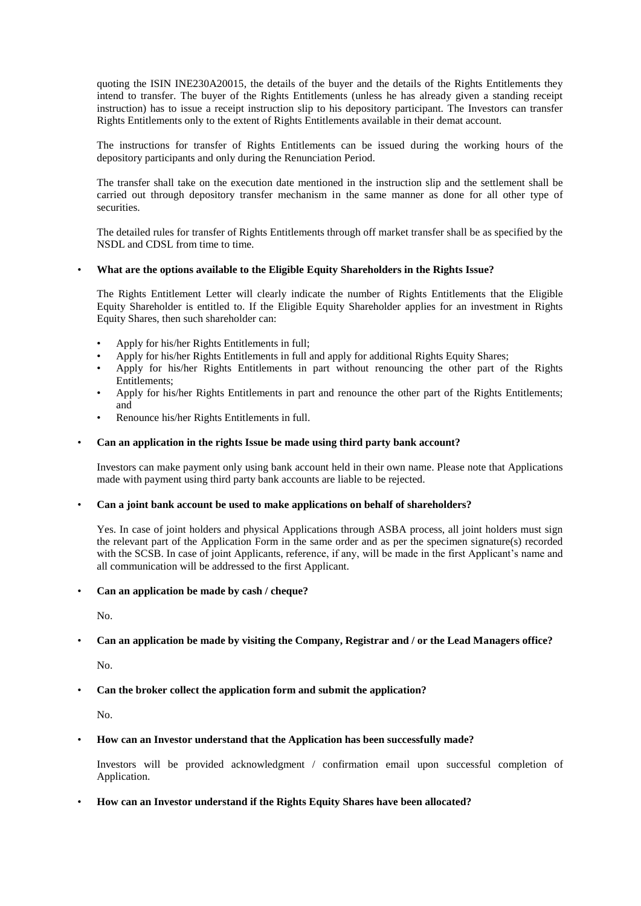quoting the ISIN INE230A20015, the details of the buyer and the details of the Rights Entitlements they intend to transfer. The buyer of the Rights Entitlements (unless he has already given a standing receipt instruction) has to issue a receipt instruction slip to his depository participant. The Investors can transfer Rights Entitlements only to the extent of Rights Entitlements available in their demat account.

The instructions for transfer of Rights Entitlements can be issued during the working hours of the depository participants and only during the Renunciation Period.

The transfer shall take on the execution date mentioned in the instruction slip and the settlement shall be carried out through depository transfer mechanism in the same manner as done for all other type of securities.

The detailed rules for transfer of Rights Entitlements through off market transfer shall be as specified by the NSDL and CDSL from time to time.

## • **What are the options available to the Eligible Equity Shareholders in the Rights Issue?**

The Rights Entitlement Letter will clearly indicate the number of Rights Entitlements that the Eligible Equity Shareholder is entitled to. If the Eligible Equity Shareholder applies for an investment in Rights Equity Shares, then such shareholder can:

- Apply for his/her Rights Entitlements in full;
- Apply for his/her Rights Entitlements in full and apply for additional Rights Equity Shares;
- Apply for his/her Rights Entitlements in part without renouncing the other part of the Rights Entitlements;
- Apply for his/her Rights Entitlements in part and renounce the other part of the Rights Entitlements; and
- Renounce his/her Rights Entitlements in full.

#### • **Can an application in the rights Issue be made using third party bank account?**

Investors can make payment only using bank account held in their own name. Please note that Applications made with payment using third party bank accounts are liable to be rejected.

#### • **Can a joint bank account be used to make applications on behalf of shareholders?**

Yes. In case of joint holders and physical Applications through ASBA process, all joint holders must sign the relevant part of the Application Form in the same order and as per the specimen signature(s) recorded with the SCSB. In case of joint Applicants, reference, if any, will be made in the first Applicant's name and all communication will be addressed to the first Applicant.

#### • **Can an application be made by cash / cheque?**

No.

## • **Can an application be made by visiting the Company, Registrar and / or the Lead Managers office?**

No.

## • **Can the broker collect the application form and submit the application?**

No.

#### • **How can an Investor understand that the Application has been successfully made?**

Investors will be provided acknowledgment / confirmation email upon successful completion of Application.

#### • **How can an Investor understand if the Rights Equity Shares have been allocated?**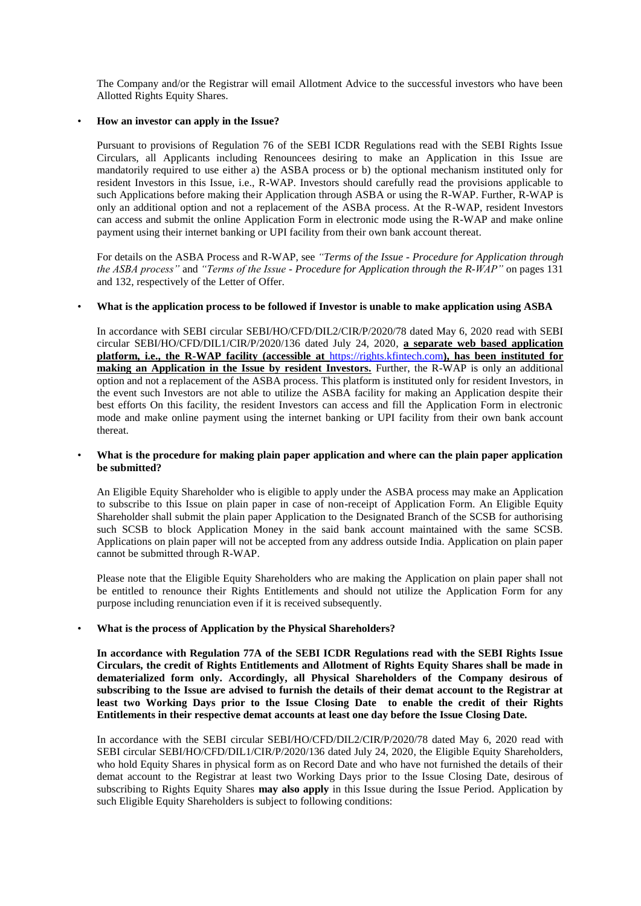The Company and/or the Registrar will email Allotment Advice to the successful investors who have been Allotted Rights Equity Shares.

#### • **How an investor can apply in the Issue?**

Pursuant to provisions of Regulation 76 of the SEBI ICDR Regulations read with the SEBI Rights Issue Circulars, all Applicants including Renouncees desiring to make an Application in this Issue are mandatorily required to use either a) the ASBA process or b) the optional mechanism instituted only for resident Investors in this Issue, i.e., R-WAP. Investors should carefully read the provisions applicable to such Applications before making their Application through ASBA or using the R-WAP. Further, R-WAP is only an additional option and not a replacement of the ASBA process. At the R-WAP, resident Investors can access and submit the online Application Form in electronic mode using the R-WAP and make online payment using their internet banking or UPI facility from their own bank account thereat.

For details on the ASBA Process and R-WAP, see *"Terms of the Issue - Procedure for Application through the ASBA process"* and *"Terms of the Issue - Procedure for Application through the R-WAP"* on pages 131 and 132, respectively of the Letter of Offer.

#### • **What is the application process to be followed if Investor is unable to make application using ASBA**

In accordance with SEBI circular SEBI/HO/CFD/DIL2/CIR/P/2020/78 dated May 6, 2020 read with SEBI circular SEBI/HO/CFD/DIL1/CIR/P/2020/136 dated July 24, 2020, **a separate web based application platform, i.e., the R-WAP facility (accessible at** [https://rights.kfintech.com](https://rights.kfintech.com/)**), has been instituted for making an Application in the Issue by resident Investors.** Further, the R-WAP is only an additional option and not a replacement of the ASBA process. This platform is instituted only for resident Investors, in the event such Investors are not able to utilize the ASBA facility for making an Application despite their best efforts On this facility, the resident Investors can access and fill the Application Form in electronic mode and make online payment using the internet banking or UPI facility from their own bank account thereat.

### • **What is the procedure for making plain paper application and where can the plain paper application be submitted?**

An Eligible Equity Shareholder who is eligible to apply under the ASBA process may make an Application to subscribe to this Issue on plain paper in case of non-receipt of Application Form. An Eligible Equity Shareholder shall submit the plain paper Application to the Designated Branch of the SCSB for authorising such SCSB to block Application Money in the said bank account maintained with the same SCSB. Applications on plain paper will not be accepted from any address outside India. Application on plain paper cannot be submitted through R-WAP.

Please note that the Eligible Equity Shareholders who are making the Application on plain paper shall not be entitled to renounce their Rights Entitlements and should not utilize the Application Form for any purpose including renunciation even if it is received subsequently.

## • **What is the process of Application by the Physical Shareholders?**

**In accordance with Regulation 77A of the SEBI ICDR Regulations read with the SEBI Rights Issue Circulars, the credit of Rights Entitlements and Allotment of Rights Equity Shares shall be made in dematerialized form only. Accordingly, all Physical Shareholders of the Company desirous of subscribing to the Issue are advised to furnish the details of their demat account to the Registrar at least two Working Days prior to the Issue Closing Date to enable the credit of their Rights Entitlements in their respective demat accounts at least one day before the Issue Closing Date.**

In accordance with the SEBI circular SEBI/HO/CFD/DIL2/CIR/P/2020/78 dated May 6, 2020 read with SEBI circular SEBI/HO/CFD/DIL1/CIR/P/2020/136 dated July 24, 2020, the Eligible Equity Shareholders, who hold Equity Shares in physical form as on Record Date and who have not furnished the details of their demat account to the Registrar at least two Working Days prior to the Issue Closing Date, desirous of subscribing to Rights Equity Shares **may also apply** in this Issue during the Issue Period. Application by such Eligible Equity Shareholders is subject to following conditions: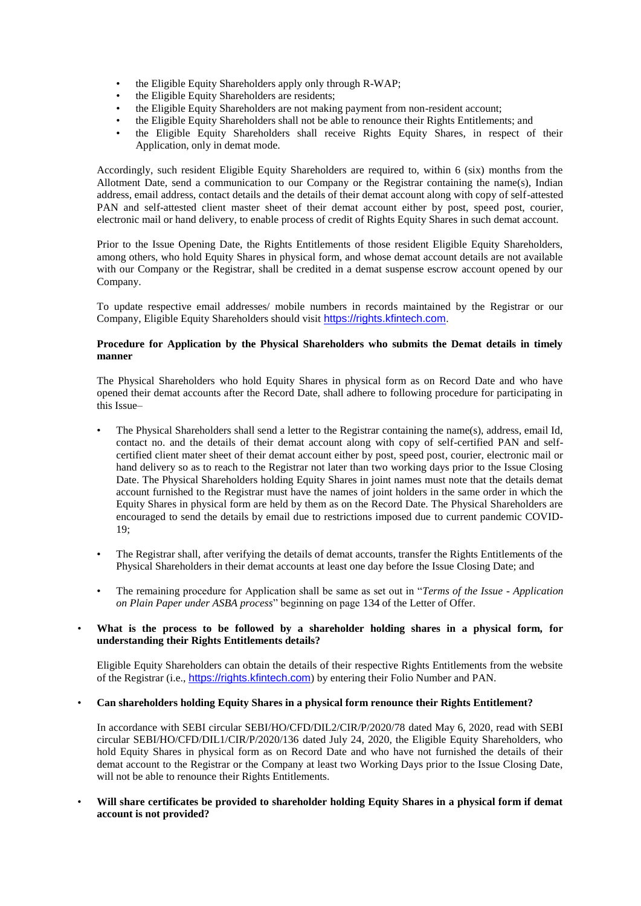- the Eligible Equity Shareholders apply only through R-WAP;
- the Eligible Equity Shareholders are residents;
- the Eligible Equity Shareholders are not making payment from non-resident account;
- the Eligible Equity Shareholders shall not be able to renounce their Rights Entitlements; and
- the Eligible Equity Shareholders shall receive Rights Equity Shares, in respect of their Application, only in demat mode.

Accordingly, such resident Eligible Equity Shareholders are required to, within 6 (six) months from the Allotment Date, send a communication to our Company or the Registrar containing the name(s), Indian address, email address, contact details and the details of their demat account along with copy of self-attested PAN and self-attested client master sheet of their demat account either by post, speed post, courier, electronic mail or hand delivery, to enable process of credit of Rights Equity Shares in such demat account.

Prior to the Issue Opening Date, the Rights Entitlements of those resident Eligible Equity Shareholders, among others, who hold Equity Shares in physical form, and whose demat account details are not available with our Company or the Registrar, shall be credited in a demat suspense escrow account opened by our Company.

To update respective email addresses/ mobile numbers in records maintained by the Registrar or our Company, Eligible Equity Shareholders should visit [https://rights.kfintech.com](https://rights.kfintech.com/).

## **Procedure for Application by the Physical Shareholders who submits the Demat details in timely manner**

The Physical Shareholders who hold Equity Shares in physical form as on Record Date and who have opened their demat accounts after the Record Date, shall adhere to following procedure for participating in this Issue–

- The Physical Shareholders shall send a letter to the Registrar containing the name(s), address, email Id, contact no. and the details of their demat account along with copy of self-certified PAN and selfcertified client mater sheet of their demat account either by post, speed post, courier, electronic mail or hand delivery so as to reach to the Registrar not later than two working days prior to the Issue Closing Date. The Physical Shareholders holding Equity Shares in joint names must note that the details demat account furnished to the Registrar must have the names of joint holders in the same order in which the Equity Shares in physical form are held by them as on the Record Date. The Physical Shareholders are encouraged to send the details by email due to restrictions imposed due to current pandemic COVID-19;
- The Registrar shall, after verifying the details of demat accounts, transfer the Rights Entitlements of the Physical Shareholders in their demat accounts at least one day before the Issue Closing Date; and
- The remaining procedure for Application shall be same as set out in "*Terms of the Issue - Application on Plain Paper under ASBA process*" beginning on page 134 of the Letter of Offer.

## • **What is the process to be followed by a shareholder holding shares in a physical form, for understanding their Rights Entitlements details?**

Eligible Equity Shareholders can obtain the details of their respective Rights Entitlements from the website of the Registrar (i.e., [https://rights.kfintech.com](https://rights.kfintech.com/)) by entering their Folio Number and PAN.

#### • **Can shareholders holding Equity Shares in a physical form renounce their Rights Entitlement?**

In accordance with SEBI circular SEBI/HO/CFD/DIL2/CIR/P/2020/78 dated May 6, 2020, read with SEBI circular SEBI/HO/CFD/DIL1/CIR/P/2020/136 dated July 24, 2020, the Eligible Equity Shareholders, who hold Equity Shares in physical form as on Record Date and who have not furnished the details of their demat account to the Registrar or the Company at least two Working Days prior to the Issue Closing Date, will not be able to renounce their Rights Entitlements.

• **Will share certificates be provided to shareholder holding Equity Shares in a physical form if demat account is not provided?**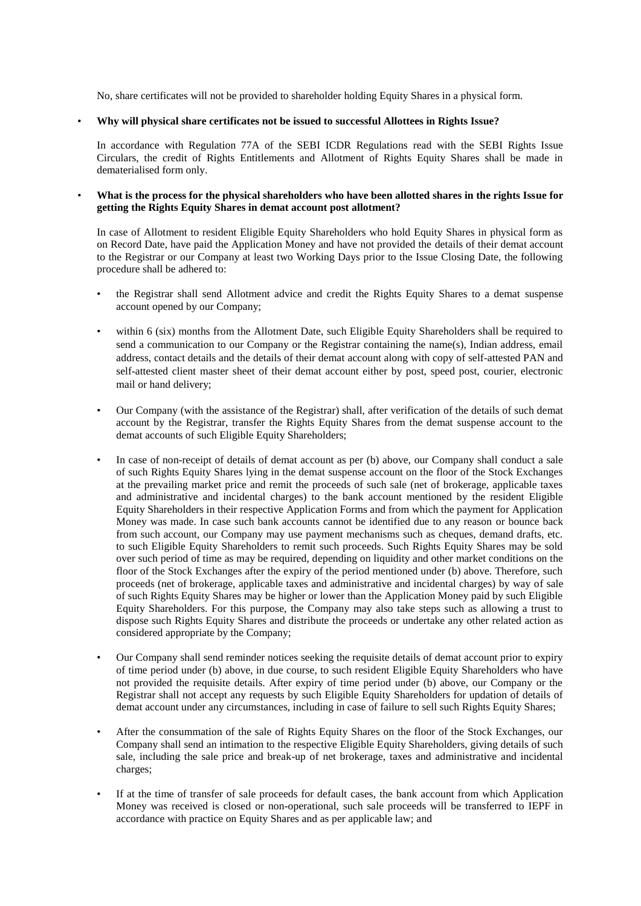No, share certificates will not be provided to shareholder holding Equity Shares in a physical form.

#### • **Why will physical share certificates not be issued to successful Allottees in Rights Issue?**

In accordance with Regulation 77A of the SEBI ICDR Regulations read with the SEBI Rights Issue Circulars, the credit of Rights Entitlements and Allotment of Rights Equity Shares shall be made in dematerialised form only.

• **What is the process for the physical shareholders who have been allotted shares in the rights Issue for getting the Rights Equity Shares in demat account post allotment?**

In case of Allotment to resident Eligible Equity Shareholders who hold Equity Shares in physical form as on Record Date, have paid the Application Money and have not provided the details of their demat account to the Registrar or our Company at least two Working Days prior to the Issue Closing Date, the following procedure shall be adhered to:

- the Registrar shall send Allotment advice and credit the Rights Equity Shares to a demat suspense account opened by our Company;
- within 6 (six) months from the Allotment Date, such Eligible Equity Shareholders shall be required to send a communication to our Company or the Registrar containing the name(s), Indian address, email address, contact details and the details of their demat account along with copy of self-attested PAN and self-attested client master sheet of their demat account either by post, speed post, courier, electronic mail or hand delivery;
- Our Company (with the assistance of the Registrar) shall, after verification of the details of such demat account by the Registrar, transfer the Rights Equity Shares from the demat suspense account to the demat accounts of such Eligible Equity Shareholders;
- In case of non-receipt of details of demat account as per (b) above, our Company shall conduct a sale of such Rights Equity Shares lying in the demat suspense account on the floor of the Stock Exchanges at the prevailing market price and remit the proceeds of such sale (net of brokerage, applicable taxes and administrative and incidental charges) to the bank account mentioned by the resident Eligible Equity Shareholders in their respective Application Forms and from which the payment for Application Money was made. In case such bank accounts cannot be identified due to any reason or bounce back from such account, our Company may use payment mechanisms such as cheques, demand drafts, etc. to such Eligible Equity Shareholders to remit such proceeds. Such Rights Equity Shares may be sold over such period of time as may be required, depending on liquidity and other market conditions on the floor of the Stock Exchanges after the expiry of the period mentioned under (b) above. Therefore, such proceeds (net of brokerage, applicable taxes and administrative and incidental charges) by way of sale of such Rights Equity Shares may be higher or lower than the Application Money paid by such Eligible Equity Shareholders. For this purpose, the Company may also take steps such as allowing a trust to dispose such Rights Equity Shares and distribute the proceeds or undertake any other related action as considered appropriate by the Company;
- Our Company shall send reminder notices seeking the requisite details of demat account prior to expiry of time period under (b) above, in due course, to such resident Eligible Equity Shareholders who have not provided the requisite details. After expiry of time period under (b) above, our Company or the Registrar shall not accept any requests by such Eligible Equity Shareholders for updation of details of demat account under any circumstances, including in case of failure to sell such Rights Equity Shares;
- After the consummation of the sale of Rights Equity Shares on the floor of the Stock Exchanges, our Company shall send an intimation to the respective Eligible Equity Shareholders, giving details of such sale, including the sale price and break-up of net brokerage, taxes and administrative and incidental charges;
- If at the time of transfer of sale proceeds for default cases, the bank account from which Application Money was received is closed or non-operational, such sale proceeds will be transferred to IEPF in accordance with practice on Equity Shares and as per applicable law; and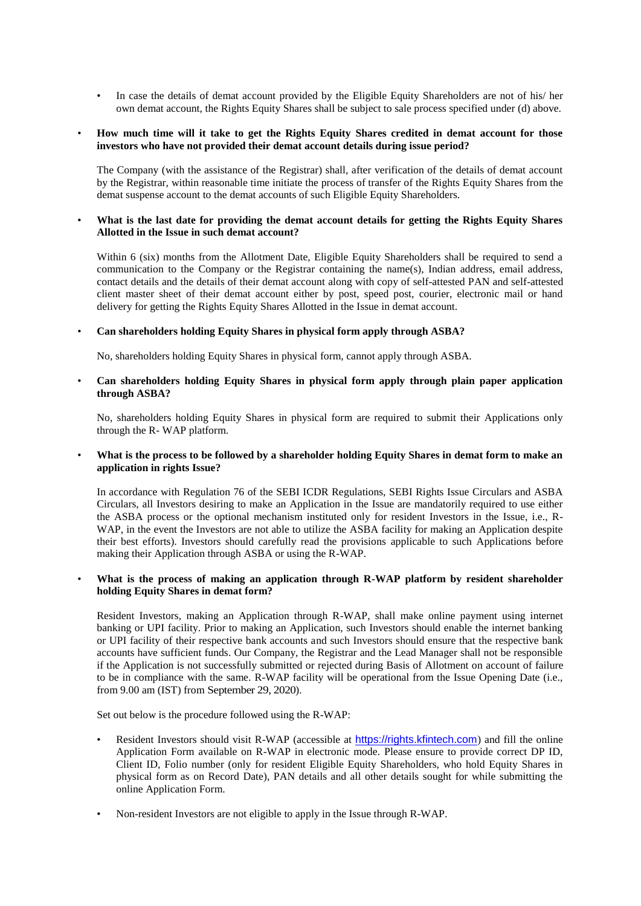• In case the details of demat account provided by the Eligible Equity Shareholders are not of his/ her own demat account, the Rights Equity Shares shall be subject to sale process specified under (d) above.

## • **How much time will it take to get the Rights Equity Shares credited in demat account for those investors who have not provided their demat account details during issue period?**

The Company (with the assistance of the Registrar) shall, after verification of the details of demat account by the Registrar, within reasonable time initiate the process of transfer of the Rights Equity Shares from the demat suspense account to the demat accounts of such Eligible Equity Shareholders.

## • **What is the last date for providing the demat account details for getting the Rights Equity Shares Allotted in the Issue in such demat account?**

Within 6 (six) months from the Allotment Date, Eligible Equity Shareholders shall be required to send a communication to the Company or the Registrar containing the name(s), Indian address, email address, contact details and the details of their demat account along with copy of self-attested PAN and self-attested client master sheet of their demat account either by post, speed post, courier, electronic mail or hand delivery for getting the Rights Equity Shares Allotted in the Issue in demat account.

## • **Can shareholders holding Equity Shares in physical form apply through ASBA?**

No, shareholders holding Equity Shares in physical form, cannot apply through ASBA.

## • **Can shareholders holding Equity Shares in physical form apply through plain paper application through ASBA?**

No, shareholders holding Equity Shares in physical form are required to submit their Applications only through the R- WAP platform.

## • **What is the process to be followed by a shareholder holding Equity Shares in demat form to make an application in rights Issue?**

In accordance with Regulation 76 of the SEBI ICDR Regulations, SEBI Rights Issue Circulars and ASBA Circulars, all Investors desiring to make an Application in the Issue are mandatorily required to use either the ASBA process or the optional mechanism instituted only for resident Investors in the Issue, i.e., R-WAP, in the event the Investors are not able to utilize the ASBA facility for making an Application despite their best efforts). Investors should carefully read the provisions applicable to such Applications before making their Application through ASBA or using the R-WAP.

## What is the process of making an application through R-WAP platform by resident shareholder **holding Equity Shares in demat form?**

Resident Investors, making an Application through R-WAP, shall make online payment using internet banking or UPI facility. Prior to making an Application, such Investors should enable the internet banking or UPI facility of their respective bank accounts and such Investors should ensure that the respective bank accounts have sufficient funds. Our Company, the Registrar and the Lead Manager shall not be responsible if the Application is not successfully submitted or rejected during Basis of Allotment on account of failure to be in compliance with the same. R-WAP facility will be operational from the Issue Opening Date (i.e., from 9.00 am (IST) from September 29, 2020).

Set out below is the procedure followed using the R-WAP:

- Resident Investors should visit R-WAP (accessible at [https://rights.kfintech.com](https://rights.kfintech.com/)) and fill the online Application Form available on R-WAP in electronic mode. Please ensure to provide correct DP ID, Client ID, Folio number (only for resident Eligible Equity Shareholders, who hold Equity Shares in physical form as on Record Date), PAN details and all other details sought for while submitting the online Application Form.
- Non-resident Investors are not eligible to apply in the Issue through R-WAP.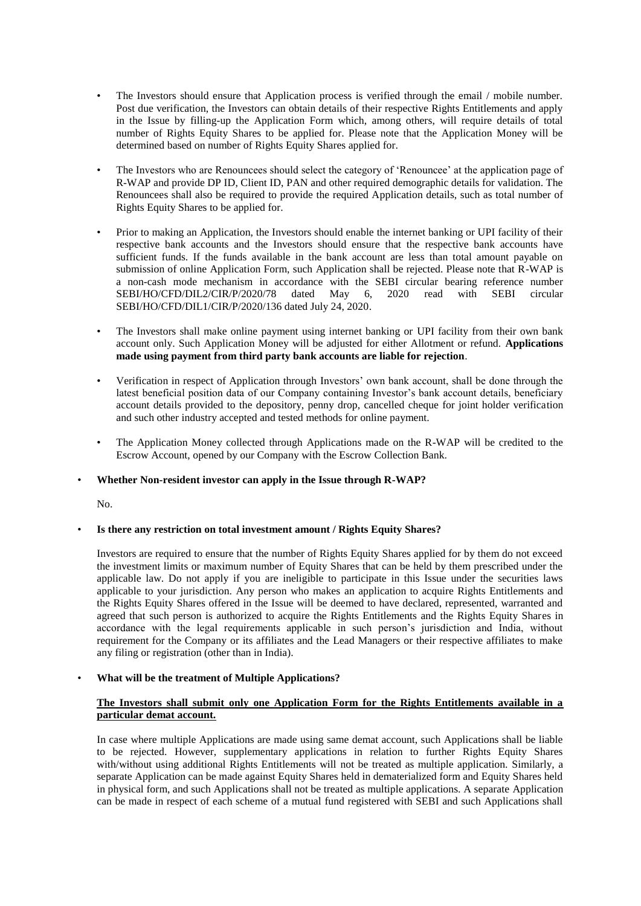- The Investors should ensure that Application process is verified through the email / mobile number. Post due verification, the Investors can obtain details of their respective Rights Entitlements and apply in the Issue by filling-up the Application Form which, among others, will require details of total number of Rights Equity Shares to be applied for. Please note that the Application Money will be determined based on number of Rights Equity Shares applied for.
- The Investors who are Renouncees should select the category of 'Renouncee' at the application page of R-WAP and provide DP ID, Client ID, PAN and other required demographic details for validation. The Renouncees shall also be required to provide the required Application details, such as total number of Rights Equity Shares to be applied for.
- Prior to making an Application, the Investors should enable the internet banking or UPI facility of their respective bank accounts and the Investors should ensure that the respective bank accounts have sufficient funds. If the funds available in the bank account are less than total amount payable on submission of online Application Form, such Application shall be rejected. Please note that R-WAP is a non-cash mode mechanism in accordance with the SEBI circular bearing reference number SEBI/HO/CFD/DIL2/CIR/P/2020/78 dated May 6, 2020 read with SEBI circular SEBI/HO/CFD/DIL1/CIR/P/2020/136 dated July 24, 2020.
- The Investors shall make online payment using internet banking or UPI facility from their own bank account only. Such Application Money will be adjusted for either Allotment or refund. **Applications made using payment from third party bank accounts are liable for rejection**.
- Verification in respect of Application through Investors' own bank account, shall be done through the latest beneficial position data of our Company containing Investor's bank account details, beneficiary account details provided to the depository, penny drop, cancelled cheque for joint holder verification and such other industry accepted and tested methods for online payment.
- The Application Money collected through Applications made on the R-WAP will be credited to the Escrow Account, opened by our Company with the Escrow Collection Bank.

#### • **Whether Non-resident investor can apply in the Issue through R-WAP?**

No.

## • **Is there any restriction on total investment amount / Rights Equity Shares?**

Investors are required to ensure that the number of Rights Equity Shares applied for by them do not exceed the investment limits or maximum number of Equity Shares that can be held by them prescribed under the applicable law. Do not apply if you are ineligible to participate in this Issue under the securities laws applicable to your jurisdiction. Any person who makes an application to acquire Rights Entitlements and the Rights Equity Shares offered in the Issue will be deemed to have declared, represented, warranted and agreed that such person is authorized to acquire the Rights Entitlements and the Rights Equity Shares in accordance with the legal requirements applicable in such person's jurisdiction and India, without requirement for the Company or its affiliates and the Lead Managers or their respective affiliates to make any filing or registration (other than in India).

## • **What will be the treatment of Multiple Applications?**

# **The Investors shall submit only one Application Form for the Rights Entitlements available in a particular demat account.**

In case where multiple Applications are made using same demat account, such Applications shall be liable to be rejected. However, supplementary applications in relation to further Rights Equity Shares with/without using additional Rights Entitlements will not be treated as multiple application. Similarly, a separate Application can be made against Equity Shares held in dematerialized form and Equity Shares held in physical form, and such Applications shall not be treated as multiple applications. A separate Application can be made in respect of each scheme of a mutual fund registered with SEBI and such Applications shall